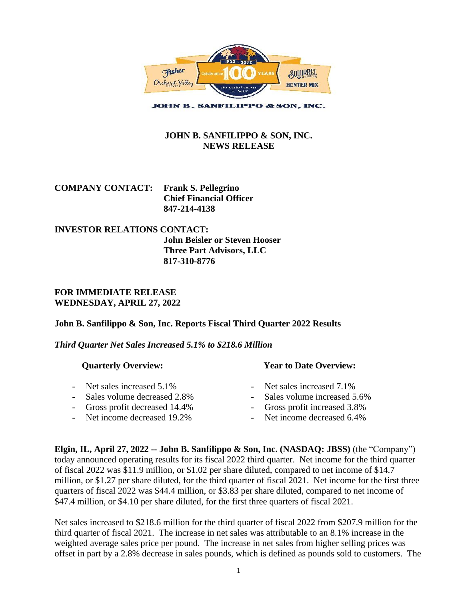

**JOHN B. SANFILIPPO & SON, INC.** 

# **JOHN B. SANFILIPPO & SON, INC. NEWS RELEASE**

| <b>COMPANY CONTACT:</b> Frank S. Pellegrino |                                |
|---------------------------------------------|--------------------------------|
|                                             | <b>Chief Financial Officer</b> |
|                                             | 847-214-4138                   |

### **INVESTOR RELATIONS CONTACT: John Beisler or Steven Hooser Three Part Advisors, LLC 817-310-8776**

## **FOR IMMEDIATE RELEASE WEDNESDAY, APRIL 27, 2022**

# **John B. Sanfilippo & Son, Inc. Reports Fiscal Third Quarter 2022 Results**

### *Third Quarter Net Sales Increased 5.1% to \$218.6 Million*

| <b>Quarterly Overview:</b>     | <b>Year to Date Overview:</b> |
|--------------------------------|-------------------------------|
| - Net sales increased 5.1%     | - Net sales increased 7.1%    |
| Sales volume decreased 2.8%    | Sales volume increased 5.6%   |
| - Gross profit decreased 14.4% | - Gross profit increased 3.8% |
| - Net income decreased 19.2%   | - Net income decreased 6.4%   |

**Elgin, IL, April 27, 2022 -- John B. Sanfilippo & Son, Inc. (NASDAQ: JBSS)** (the "Company") today announced operating results for its fiscal 2022 third quarter. Net income for the third quarter of fiscal 2022 was \$11.9 million, or \$1.02 per share diluted, compared to net income of \$14.7 million, or \$1.27 per share diluted, for the third quarter of fiscal 2021. Net income for the first three quarters of fiscal 2022 was \$44.4 million, or \$3.83 per share diluted, compared to net income of \$47.4 million, or \$4.10 per share diluted, for the first three quarters of fiscal 2021.

Net sales increased to \$218.6 million for the third quarter of fiscal 2022 from \$207.9 million for the third quarter of fiscal 2021. The increase in net sales was attributable to an 8.1% increase in the weighted average sales price per pound. The increase in net sales from higher selling prices was offset in part by a 2.8% decrease in sales pounds, which is defined as pounds sold to customers. The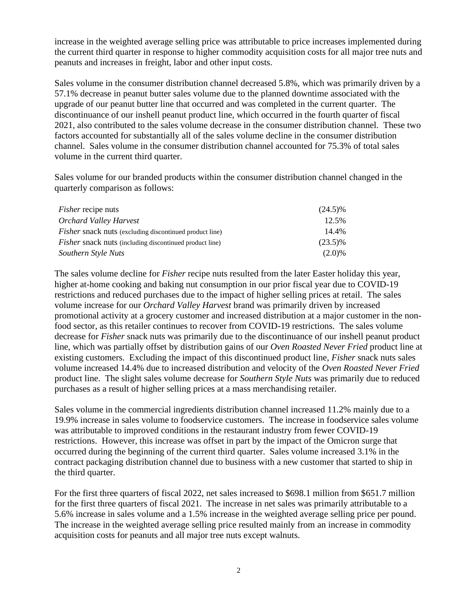increase in the weighted average selling price was attributable to price increases implemented during the current third quarter in response to higher commodity acquisition costs for all major tree nuts and peanuts and increases in freight, labor and other input costs.

Sales volume in the consumer distribution channel decreased 5.8%, which was primarily driven by a 57.1% decrease in peanut butter sales volume due to the planned downtime associated with the upgrade of our peanut butter line that occurred and was completed in the current quarter. The discontinuance of our inshell peanut product line, which occurred in the fourth quarter of fiscal 2021, also contributed to the sales volume decrease in the consumer distribution channel. These two factors accounted for substantially all of the sales volume decline in the consumer distribution channel. Sales volume in the consumer distribution channel accounted for 75.3% of total sales volume in the current third quarter.

Sales volume for our branded products within the consumer distribution channel changed in the quarterly comparison as follows:

| <i>Fisher</i> recipe nuts                                      | $(24.5)\%$ |
|----------------------------------------------------------------|------------|
| Orchard Valley Harvest                                         | 12.5%      |
| <i>Fisher</i> snack nuts (excluding discontinued product line) | 14.4%      |
| <i>Fisher</i> snack nuts (including discontinued product line) | $(23.5)\%$ |
| Southern Style Nuts                                            | $(2.0)\%$  |

The sales volume decline for *Fisher* recipe nuts resulted from the later Easter holiday this year, higher at-home cooking and baking nut consumption in our prior fiscal year due to COVID-19 restrictions and reduced purchases due to the impact of higher selling prices at retail. The sales volume increase for our *Orchard Valley Harvest* brand was primarily driven by increased promotional activity at a grocery customer and increased distribution at a major customer in the nonfood sector, as this retailer continues to recover from COVID-19 restrictions. The sales volume decrease for *Fisher* snack nuts was primarily due to the discontinuance of our inshell peanut product line, which was partially offset by distribution gains of our *Oven Roasted Never Fried* product line at existing customers. Excluding the impact of this discontinued product line, *Fisher* snack nuts sales volume increased 14.4% due to increased distribution and velocity of the *Oven Roasted Never Fried* product line. The slight sales volume decrease for *Southern Style Nuts* was primarily due to reduced purchases as a result of higher selling prices at a mass merchandising retailer.

Sales volume in the commercial ingredients distribution channel increased 11.2% mainly due to a 19.9% increase in sales volume to foodservice customers. The increase in foodservice sales volume was attributable to improved conditions in the restaurant industry from fewer COVID-19 restrictions. However, this increase was offset in part by the impact of the Omicron surge that occurred during the beginning of the current third quarter. Sales volume increased 3.1% in the contract packaging distribution channel due to business with a new customer that started to ship in the third quarter.

For the first three quarters of fiscal 2022, net sales increased to \$698.1 million from \$651.7 million for the first three quarters of fiscal 2021. The increase in net sales was primarily attributable to a 5.6% increase in sales volume and a 1.5% increase in the weighted average selling price per pound. The increase in the weighted average selling price resulted mainly from an increase in commodity acquisition costs for peanuts and all major tree nuts except walnuts.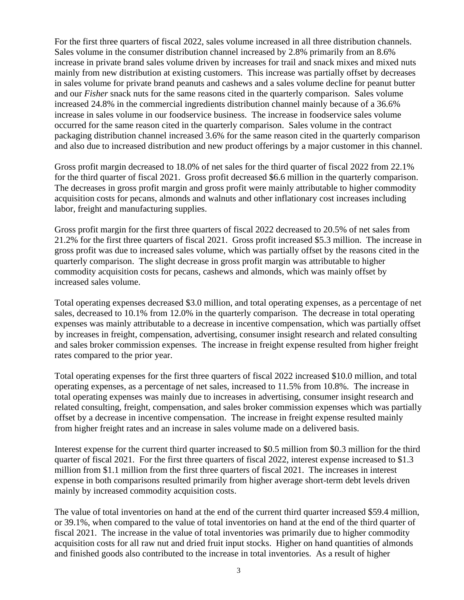For the first three quarters of fiscal 2022, sales volume increased in all three distribution channels. Sales volume in the consumer distribution channel increased by 2.8% primarily from an 8.6% increase in private brand sales volume driven by increases for trail and snack mixes and mixed nuts mainly from new distribution at existing customers. This increase was partially offset by decreases in sales volume for private brand peanuts and cashews and a sales volume decline for peanut butter and our *Fisher* snack nuts for the same reasons cited in the quarterly comparison. Sales volume increased 24.8% in the commercial ingredients distribution channel mainly because of a 36.6% increase in sales volume in our foodservice business. The increase in foodservice sales volume occurred for the same reason cited in the quarterly comparison. Sales volume in the contract packaging distribution channel increased 3.6% for the same reason cited in the quarterly comparison and also due to increased distribution and new product offerings by a major customer in this channel.

Gross profit margin decreased to 18.0% of net sales for the third quarter of fiscal 2022 from 22.1% for the third quarter of fiscal 2021. Gross profit decreased \$6.6 million in the quarterly comparison. The decreases in gross profit margin and gross profit were mainly attributable to higher commodity acquisition costs for pecans, almonds and walnuts and other inflationary cost increases including labor, freight and manufacturing supplies.

Gross profit margin for the first three quarters of fiscal 2022 decreased to 20.5% of net sales from 21.2% for the first three quarters of fiscal 2021. Gross profit increased \$5.3 million. The increase in gross profit was due to increased sales volume, which was partially offset by the reasons cited in the quarterly comparison. The slight decrease in gross profit margin was attributable to higher commodity acquisition costs for pecans, cashews and almonds, which was mainly offset by increased sales volume.

Total operating expenses decreased \$3.0 million, and total operating expenses, as a percentage of net sales, decreased to 10.1% from 12.0% in the quarterly comparison. The decrease in total operating expenses was mainly attributable to a decrease in incentive compensation, which was partially offset by increases in freight, compensation, advertising, consumer insight research and related consulting and sales broker commission expenses. The increase in freight expense resulted from higher freight rates compared to the prior year.

Total operating expenses for the first three quarters of fiscal 2022 increased \$10.0 million, and total operating expenses, as a percentage of net sales, increased to 11.5% from 10.8%. The increase in total operating expenses was mainly due to increases in advertising, consumer insight research and related consulting, freight, compensation, and sales broker commission expenses which was partially offset by a decrease in incentive compensation. The increase in freight expense resulted mainly from higher freight rates and an increase in sales volume made on a delivered basis.

Interest expense for the current third quarter increased to \$0.5 million from \$0.3 million for the third quarter of fiscal 2021. For the first three quarters of fiscal 2022, interest expense increased to \$1.3 million from \$1.1 million from the first three quarters of fiscal 2021. The increases in interest expense in both comparisons resulted primarily from higher average short-term debt levels driven mainly by increased commodity acquisition costs.

The value of total inventories on hand at the end of the current third quarter increased \$59.4 million, or 39.1%, when compared to the value of total inventories on hand at the end of the third quarter of fiscal 2021. The increase in the value of total inventories was primarily due to higher commodity acquisition costs for all raw nut and dried fruit input stocks. Higher on hand quantities of almonds and finished goods also contributed to the increase in total inventories. As a result of higher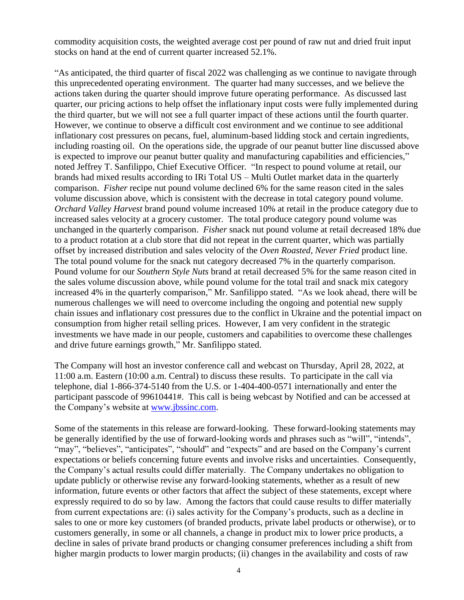commodity acquisition costs, the weighted average cost per pound of raw nut and dried fruit input stocks on hand at the end of current quarter increased 52.1%.

"As anticipated, the third quarter of fiscal 2022 was challenging as we continue to navigate through this unprecedented operating environment. The quarter had many successes, and we believe the actions taken during the quarter should improve future operating performance. As discussed last quarter, our pricing actions to help offset the inflationary input costs were fully implemented during the third quarter, but we will not see a full quarter impact of these actions until the fourth quarter. However, we continue to observe a difficult cost environment and we continue to see additional inflationary cost pressures on pecans, fuel, aluminum-based lidding stock and certain ingredients, including roasting oil. On the operations side, the upgrade of our peanut butter line discussed above is expected to improve our peanut butter quality and manufacturing capabilities and efficiencies," noted Jeffrey T. Sanfilippo, Chief Executive Officer. "In respect to pound volume at retail, our brands had mixed results according to IRi Total US – Multi Outlet market data in the quarterly comparison. *Fisher* recipe nut pound volume declined 6% for the same reason cited in the sales volume discussion above, which is consistent with the decrease in total category pound volume. *Orchard Valley Harvest* brand pound volume increased 10% at retail in the produce category due to increased sales velocity at a grocery customer. The total produce category pound volume was unchanged in the quarterly comparison. *Fisher* snack nut pound volume at retail decreased 18% due to a product rotation at a club store that did not repeat in the current quarter, which was partially offset by increased distribution and sales velocity of the *Oven Roasted, Never Fried* product line. The total pound volume for the snack nut category decreased 7% in the quarterly comparison. Pound volume for our *Southern Style Nuts* brand at retail decreased 5% for the same reason cited in the sales volume discussion above, while pound volume for the total trail and snack mix category increased 4% in the quarterly comparison," Mr. Sanfilippo stated. "As we look ahead, there will be numerous challenges we will need to overcome including the ongoing and potential new supply chain issues and inflationary cost pressures due to the conflict in Ukraine and the potential impact on consumption from higher retail selling prices. However, I am very confident in the strategic investments we have made in our people, customers and capabilities to overcome these challenges and drive future earnings growth," Mr. Sanfilippo stated.

The Company will host an investor conference call and webcast on Thursday, April 28, 2022, at 11:00 a.m. Eastern (10:00 a.m. Central) to discuss these results. To participate in the call via telephone, dial 1-866-374-5140 from the U.S. or 1-404-400-0571 internationally and enter the participant passcode of 99610441#. This call is being webcast by Notified and can be accessed at the Company's website at [www.jbssinc.com.](http://www.jbssinc.com/)

Some of the statements in this release are forward-looking. These forward-looking statements may be generally identified by the use of forward-looking words and phrases such as "will", "intends", "may", "believes", "anticipates", "should" and "expects" and are based on the Company's current expectations or beliefs concerning future events and involve risks and uncertainties. Consequently, the Company's actual results could differ materially. The Company undertakes no obligation to update publicly or otherwise revise any forward-looking statements, whether as a result of new information, future events or other factors that affect the subject of these statements, except where expressly required to do so by law. Among the factors that could cause results to differ materially from current expectations are: (i) sales activity for the Company's products, such as a decline in sales to one or more key customers (of branded products, private label products or otherwise), or to customers generally, in some or all channels, a change in product mix to lower price products, a decline in sales of private brand products or changing consumer preferences including a shift from higher margin products to lower margin products; (ii) changes in the availability and costs of raw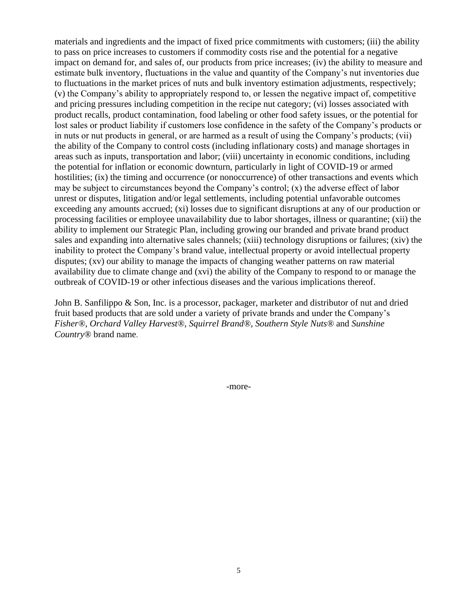materials and ingredients and the impact of fixed price commitments with customers; (iii) the ability to pass on price increases to customers if commodity costs rise and the potential for a negative impact on demand for, and sales of, our products from price increases; (iv) the ability to measure and estimate bulk inventory, fluctuations in the value and quantity of the Company's nut inventories due to fluctuations in the market prices of nuts and bulk inventory estimation adjustments, respectively; (v) the Company's ability to appropriately respond to, or lessen the negative impact of, competitive and pricing pressures including competition in the recipe nut category; (vi) losses associated with product recalls, product contamination, food labeling or other food safety issues, or the potential for lost sales or product liability if customers lose confidence in the safety of the Company's products or in nuts or nut products in general, or are harmed as a result of using the Company's products; (vii) the ability of the Company to control costs (including inflationary costs) and manage shortages in areas such as inputs, transportation and labor; (viii) uncertainty in economic conditions, including the potential for inflation or economic downturn, particularly in light of COVID-19 or armed hostilities; (ix) the timing and occurrence (or nonoccurrence) of other transactions and events which may be subject to circumstances beyond the Company's control; (x) the adverse effect of labor unrest or disputes, litigation and/or legal settlements, including potential unfavorable outcomes exceeding any amounts accrued; (xi) losses due to significant disruptions at any of our production or processing facilities or employee unavailability due to labor shortages, illness or quarantine; (xii) the ability to implement our Strategic Plan, including growing our branded and private brand product sales and expanding into alternative sales channels; (xiii) technology disruptions or failures; (xiv) the inability to protect the Company's brand value, intellectual property or avoid intellectual property disputes; (xv) our ability to manage the impacts of changing weather patterns on raw material availability due to climate change and (xvi) the ability of the Company to respond to or manage the outbreak of COVID-19 or other infectious diseases and the various implications thereof.

John B. Sanfilippo & Son, Inc. is a processor, packager, marketer and distributor of nut and dried fruit based products that are sold under a variety of private brands and under the Company's *Fisher®, Orchard Valley Harvest®, Squirrel Brand®*, *Southern Style Nuts®* and *Sunshine Country®* brand name.

-more-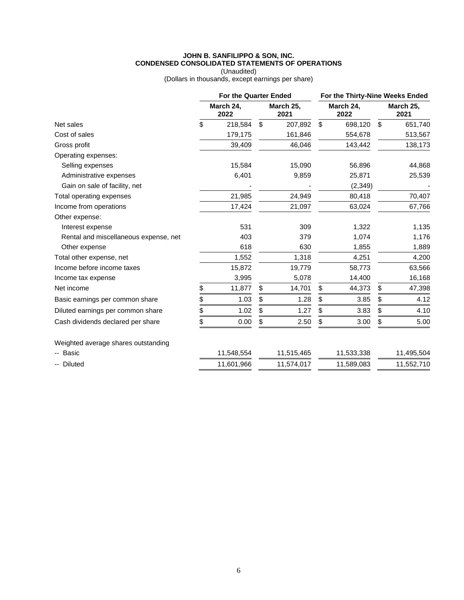#### **JOHN B. SANFILIPPO & SON, INC. CONDENSED CONSOLIDATED STATEMENTS OF OPERATIONS**

(Unaudited) (Dollars in thousands, except earnings per share)

|                                       | <b>For the Quarter Ended</b> |                   | For the Thirty-Nine Weeks Ended |                   |    |                   |  |
|---------------------------------------|------------------------------|-------------------|---------------------------------|-------------------|----|-------------------|--|
|                                       | March 24,<br>2022            | March 25,<br>2021 |                                 | March 24,<br>2022 |    | March 25,<br>2021 |  |
| Net sales                             | \$<br>218,584                | \$<br>207,892     | \$                              | 698,120           | \$ | 651,740           |  |
| Cost of sales                         | 179,175                      | 161,846           |                                 | 554,678           |    | 513,567           |  |
| Gross profit                          | 39,409                       | 46,046            |                                 | 143,442           |    | 138,173           |  |
| Operating expenses:                   |                              |                   |                                 |                   |    |                   |  |
| Selling expenses                      | 15,584                       | 15,090            |                                 | 56,896            |    | 44,868            |  |
| Administrative expenses               | 6,401                        | 9,859             |                                 | 25,871            |    | 25,539            |  |
| Gain on sale of facility, net         |                              |                   |                                 | (2, 349)          |    |                   |  |
| Total operating expenses              | 21,985                       | 24,949            |                                 | 80,418            |    | 70,407            |  |
| Income from operations                | 17,424                       | 21,097            |                                 | 63,024            |    | 67,766            |  |
| Other expense:                        |                              |                   |                                 |                   |    |                   |  |
| Interest expense                      | 531                          | 309               |                                 | 1,322             |    | 1,135             |  |
| Rental and miscellaneous expense, net | 403                          | 379               |                                 | 1,074             |    | 1,176             |  |
| Other expense                         | 618                          | 630               |                                 | 1,855             |    | 1,889             |  |
| Total other expense, net              | 1,552                        | 1,318             |                                 | 4,251             |    | 4,200             |  |
| Income before income taxes            | 15,872                       | 19,779            |                                 | 58,773            |    | 63,566            |  |
| Income tax expense                    | 3,995                        | 5,078             |                                 | 14,400            |    | 16,168            |  |
| Net income                            | \$<br>11,877                 | \$<br>14,701      | \$                              | 44,373            | \$ | 47,398            |  |
| Basic earnings per common share       | \$<br>1.03                   | \$<br>1.28        | \$                              | 3.85              | \$ | 4.12              |  |
| Diluted earnings per common share     | \$<br>1.02                   | \$<br>1.27        | \$                              | 3.83              | \$ | 4.10              |  |
| Cash dividends declared per share     | \$<br>0.00                   | \$<br>2.50        | \$                              | 3.00              | \$ | 5.00              |  |
| Weighted average shares outstanding   |                              |                   |                                 |                   |    |                   |  |
| -- Basic                              | 11,548,554                   | 11,515,465        |                                 | 11,533,338        |    | 11,495,504        |  |
| -- Diluted                            | 11,601,966                   | 11,574,017        |                                 | 11,589,083        |    | 11,552,710        |  |